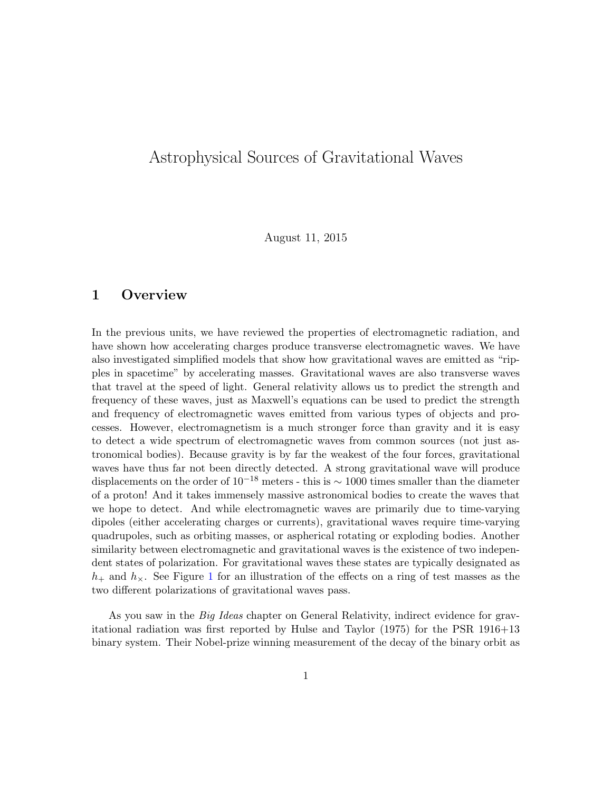# Astrophysical Sources of Gravitational Waves

August 11, 2015

## 1 Overview

In the previous units, we have reviewed the properties of electromagnetic radiation, and have shown how accelerating charges produce transverse electromagnetic waves. We have also investigated simplified models that show how gravitational waves are emitted as "ripples in spacetime" by accelerating masses. Gravitational waves are also transverse waves that travel at the speed of light. General relativity allows us to predict the strength and frequency of these waves, just as Maxwell's equations can be used to predict the strength and frequency of electromagnetic waves emitted from various types of objects and processes. However, electromagnetism is a much stronger force than gravity and it is easy to detect a wide spectrum of electromagnetic waves from common sources (not just astronomical bodies). Because gravity is by far the weakest of the four forces, gravitational waves have thus far not been directly detected. A strong gravitational wave will produce displacements on the order of  $10^{-18}$  meters - this is ~ 1000 times smaller than the diameter of a proton! And it takes immensely massive astronomical bodies to create the waves that we hope to detect. And while electromagnetic waves are primarily due to time-varying dipoles (either accelerating charges or currents), gravitational waves require time-varying quadrupoles, such as orbiting masses, or aspherical rotating or exploding bodies. Another similarity between electromagnetic and gravitational waves is the existence of two independent states of polarization. For gravitational waves these states are typically designated as  $h_{+}$  and  $h_{\times}$ . See Figure [1](#page-1-0) for an illustration of the effects on a ring of test masses as the two different polarizations of gravitational waves pass.

As you saw in the Big Ideas chapter on General Relativity, indirect evidence for gravitational radiation was first reported by Hulse and Taylor (1975) for the PSR 1916+13 binary system. Their Nobel-prize winning measurement of the decay of the binary orbit as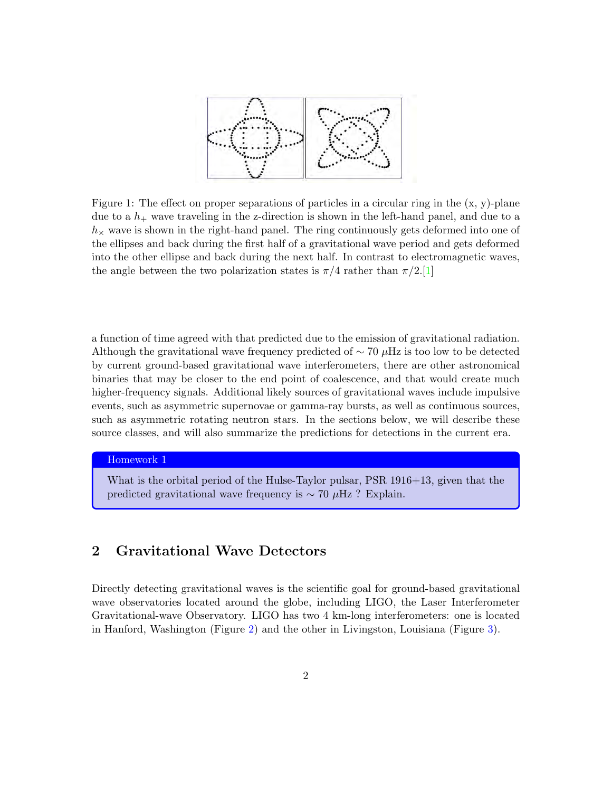

<span id="page-1-0"></span>Figure 1: The effect on proper separations of particles in a circular ring in the  $(x, y)$ -plane due to a  $h_{+}$  wave traveling in the z-direction is shown in the left-hand panel, and due to a  $h_{\times}$  wave is shown in the right-hand panel. The ring continuously gets deformed into one of the ellipses and back during the first half of a gravitational wave period and gets deformed into the other ellipse and back during the next half. In contrast to electromagnetic waves, the angle between the two polarization states is  $\pi/4$  rather than  $\pi/2.1$ 

a function of time agreed with that predicted due to the emission of gravitational radiation. Although the gravitational wave frequency predicted of  $\sim 70 \mu$ Hz is too low to be detected by current ground-based gravitational wave interferometers, there are other astronomical binaries that may be closer to the end point of coalescence, and that would create much higher-frequency signals. Additional likely sources of gravitational waves include impulsive events, such as asymmetric supernovae or gamma-ray bursts, as well as continuous sources, such as asymmetric rotating neutron stars. In the sections below, we will describe these source classes, and will also summarize the predictions for detections in the current era.

#### Homework 1

What is the orbital period of the Hulse-Taylor pulsar, PSR 1916+13, given that the predicted gravitational wave frequency is  $\sim 70 \mu$ Hz ? Explain.

## 2 Gravitational Wave Detectors

Directly detecting gravitational waves is the scientific goal for ground-based gravitational wave observatories located around the globe, including LIGO, the Laser Interferometer Gravitational-wave Observatory. LIGO has two 4 km-long interferometers: one is located in Hanford, Washington (Figure [2\)](#page-2-0) and the other in Livingston, Louisiana (Figure [3\)](#page-2-1).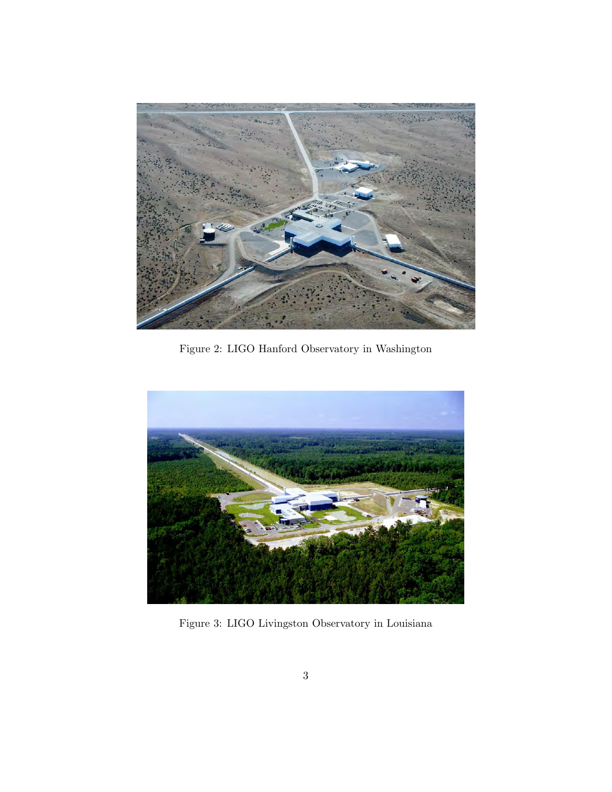

Figure 2: LIGO Hanford Observatory in Washington

<span id="page-2-1"></span><span id="page-2-0"></span>

Figure 3: LIGO Livingston Observatory in Louisiana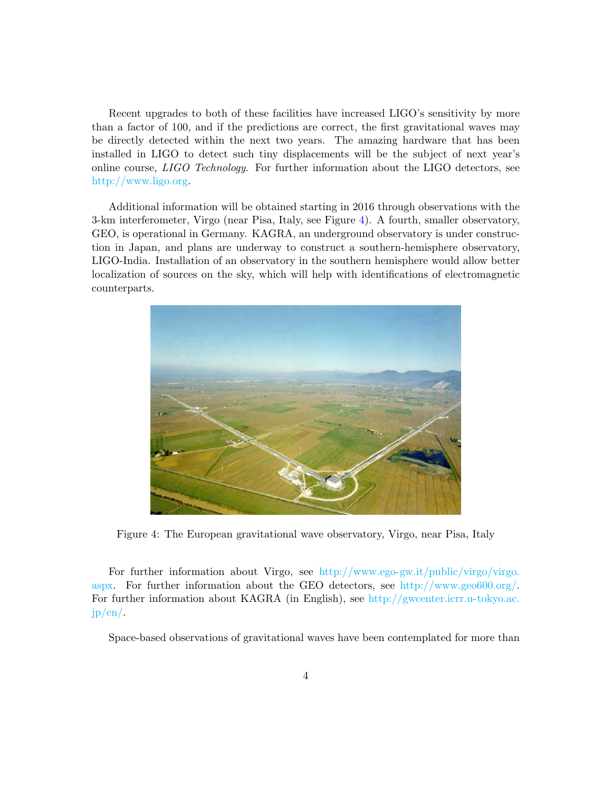Recent upgrades to both of these facilities have increased LIGO's sensitivity by more than a factor of 100, and if the predictions are correct, the first gravitational waves may be directly detected within the next two years. The amazing hardware that has been installed in LIGO to detect such tiny displacements will be the subject of next year's online course, LIGO Technology. For further information about the LIGO detectors, see [http://www.ligo.org.](http://www.ligo.org)

Additional information will be obtained starting in 2016 through observations with the 3-km interferometer, Virgo (near Pisa, Italy, see Figure [4\)](#page-3-0). A fourth, smaller observatory, GEO, is operational in Germany. KAGRA, an underground observatory is under construction in Japan, and plans are underway to construct a southern-hemisphere observatory, LIGO-India. Installation of an observatory in the southern hemisphere would allow better localization of sources on the sky, which will help with identifications of electromagnetic counterparts.



Figure 4: The European gravitational wave observatory, Virgo, near Pisa, Italy

<span id="page-3-0"></span>For further information about Virgo, see [http://www.ego-gw.it/public/virgo/virgo.](http://www.ego-gw.it/public/virgo/virgo.aspx) [aspx.](http://www.ego-gw.it/public/virgo/virgo.aspx) For further information about the GEO detectors, see [http://www.geo600.org/.](http://www.geo600.org/) For further information about KAGRA (in English), see [http://gwcenter.icrr.u-tokyo.ac.](http://gwcenter.icrr.u-tokyo.ac.jp/en/)  $jp/en/$ .

Space-based observations of gravitational waves have been contemplated for more than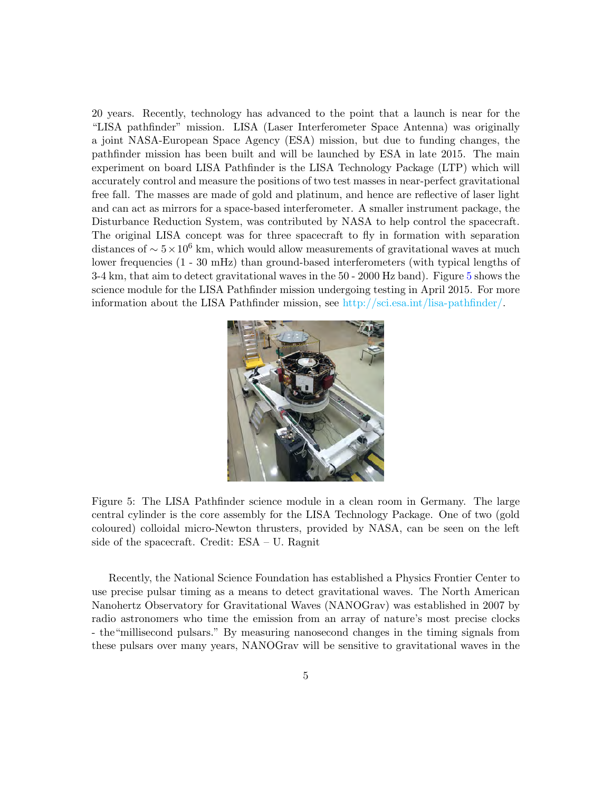20 years. Recently, technology has advanced to the point that a launch is near for the "LISA pathfinder" mission. LISA (Laser Interferometer Space Antenna) was originally a joint NASA-European Space Agency (ESA) mission, but due to funding changes, the pathfinder mission has been built and will be launched by ESA in late 2015. The main experiment on board LISA Pathfinder is the LISA Technology Package (LTP) which will accurately control and measure the positions of two test masses in near-perfect gravitational free fall. The masses are made of gold and platinum, and hence are reflective of laser light and can act as mirrors for a space-based interferometer. A smaller instrument package, the Disturbance Reduction System, was contributed by NASA to help control the spacecraft. The original LISA concept was for three spacecraft to fly in formation with separation distances of  $\sim 5 \times 10^6$  km, which would allow measurements of gravitational waves at much lower frequencies (1 - 30 mHz) than ground-based interferometers (with typical lengths of 3-4 km, that aim to detect gravitational waves in the 50 - 2000 Hz band). Figure [5](#page-4-0) shows the science module for the LISA Pathfinder mission undergoing testing in April 2015. For more information about the LISA Pathfinder mission, see [http://sci.esa.int/lisa-pathfinder/.](http://sci.esa.int/lisa-pathfinder/)



Figure 5: The LISA Pathfinder science module in a clean room in Germany. The large central cylinder is the core assembly for the LISA Technology Package. One of two (gold coloured) colloidal micro-Newton thrusters, provided by NASA, can be seen on the left side of the spacecraft. Credit: ESA – U. Ragnit

<span id="page-4-0"></span>Recently, the National Science Foundation has established a Physics Frontier Center to use precise pulsar timing as a means to detect gravitational waves. The North American Nanohertz Observatory for Gravitational Waves (NANOGrav) was established in 2007 by radio astronomers who time the emission from an array of nature's most precise clocks - the"millisecond pulsars." By measuring nanosecond changes in the timing signals from these pulsars over many years, NANOGrav will be sensitive to gravitational waves in the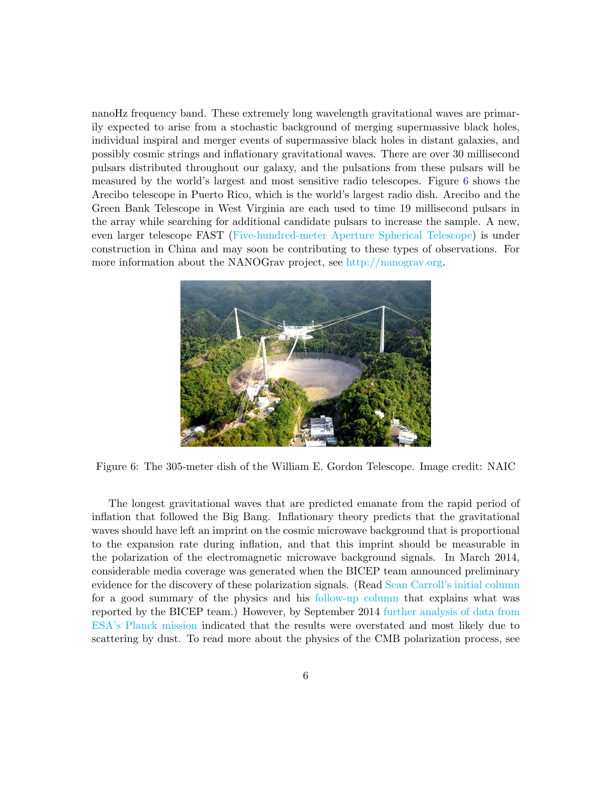nanoHz frequency band. These extremely long wavelength gravitational waves are primarily expected to arise from a stochastic background of merging supermassive black holes, individual inspiral and merger events of supermassive black holes in distant galaxies, and possibly cosmic strings and inflationary gravitational waves. There are over 30 millisecond pulsars distributed throughout our galaxy, and the pulsations from these pulsars will be measured by the world's largest and most sensitive radio telescopes. Figure [6](#page-5-0) shows the Arecibo telescope in Puerto Rico, which is the world's largest radio dish. Arecibo and the Green Bank Telescope in West Virginia are each used to time 19 millisecond pulsars in the array while searching for additional candidate pulsars to increase the sample. A new, even larger telescope FAST [\(Five-hundred-meter Aperture Spherical Telescope\)](http://fast.bao.ac.cn/en/) is under construction in China and may soon be contributing to these types of observations. For more information about the NANOGrav project, see [http://nanograv.org.](http://nanograv.org)



Figure 6: The 305-meter dish of the William E. Gordon Telescope. Image credit: NAIC

<span id="page-5-0"></span>The longest gravitational waves that are predicted emanate from the rapid period of inflation that followed the Big Bang. Inflationary theory predicts that the gravitational waves should have left an imprint on the cosmic microwave background that is proportional to the expansion rate during inflation, and that this imprint should be measurable in the polarization of the electromagnetic microwave background signals. In March 2014, considerable media coverage was generated when the BICEP team announced preliminary evidence for the discovery of these polarization signals. (Read [Sean Carroll's initial column](http://www.preposterousuniverse.com/blog/2014/03/16/gravitational-waves-in-the-cosmic-microwave-background/) for a good summary of the physics and his [follow-up column](http://www.preposterousuniverse.com/blog/2014/03/16/bicep2-updates/) that explains what was reported by the BICEP team.) However, by September 2014 [further analysis of data from](http://www.preposterousuniverse.com/blog/2014/09/21/planck-speaks-bad-news-for-primordial-gravitational-waves/) [ESA's Planck mission](http://www.preposterousuniverse.com/blog/2014/09/21/planck-speaks-bad-news-for-primordial-gravitational-waves/) indicated that the results were overstated and most likely due to scattering by dust. To read more about the physics of the CMB polarization process, see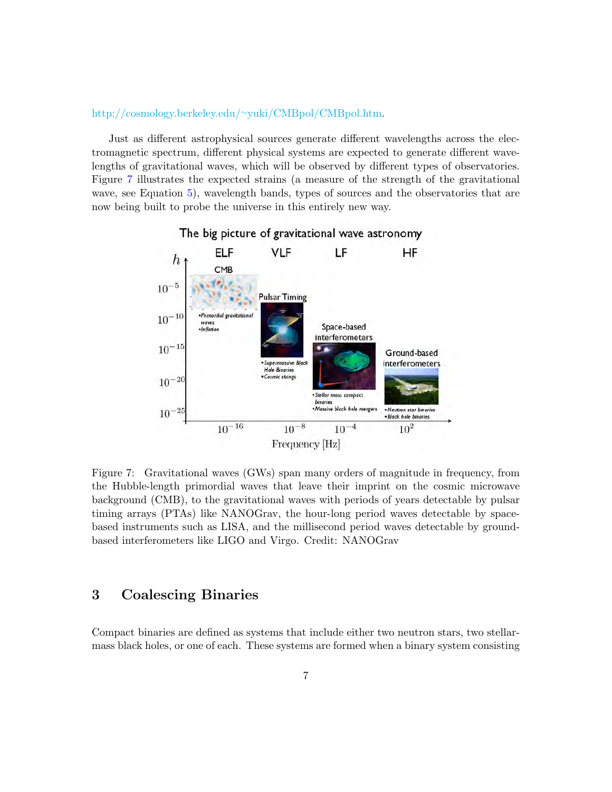#### [http://cosmology.berkeley.edu/](http://cosmology.berkeley.edu/~yuki/CMBpol/CMBpol.htm)∼yuki/CMBpol/CMBpol.htm.

Just as different astrophysical sources generate different wavelengths across the electromagnetic spectrum, different physical systems are expected to generate different wavelengths of gravitational waves, which will be observed by different types of observatories. Figure [7](#page-6-0) illustrates the expected strains (a measure of the strength of the gravitational wave, see Equation [5\)](#page-9-0), wavelength bands, types of sources and the observatories that are now being built to probe the universe in this entirely new way.



<span id="page-6-0"></span>Figure 7: Gravitational waves (GWs) span many orders of magnitude in frequency, from the Hubble-length primordial waves that leave their imprint on the cosmic microwave background (CMB), to the gravitational waves with periods of years detectable by pulsar timing arrays (PTAs) like NANOGrav, the hour-long period waves detectable by spacebased instruments such as LISA, and the millisecond period waves detectable by groundbased interferometers like LIGO and Virgo. Credit: NANOGrav

## 3 Coalescing Binaries

Compact binaries are defined as systems that include either two neutron stars, two stellarmass black holes, or one of each. These systems are formed when a binary system consisting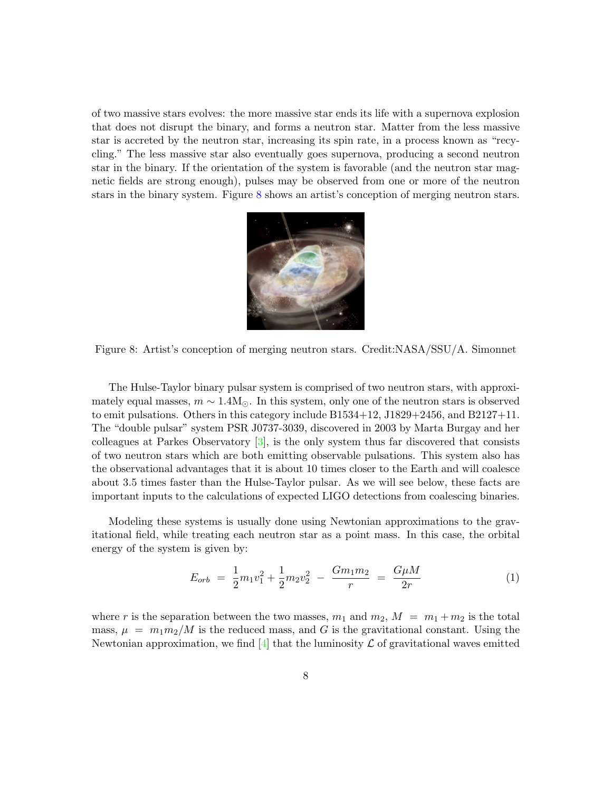of two massive stars evolves: the more massive star ends its life with a supernova explosion that does not disrupt the binary, and forms a neutron star. Matter from the less massive star is accreted by the neutron star, increasing its spin rate, in a process known as "recycling." The less massive star also eventually goes supernova, producing a second neutron star in the binary. If the orientation of the system is favorable (and the neutron star magnetic fields are strong enough), pulses may be observed from one or more of the neutron stars in the binary system. Figure [8](#page-7-0) shows an artist's conception of merging neutron stars.



Figure 8: Artist's conception of merging neutron stars. Credit:NASA/SSU/A. Simonnet

<span id="page-7-0"></span>The Hulse-Taylor binary pulsar system is comprised of two neutron stars, with approximately equal masses,  $m \sim 1.4 M_{\odot}$ . In this system, only one of the neutron stars is observed to emit pulsations. Others in this category include B1534+12, J1829+2456, and B2127+11. The "double pulsar" system PSR J0737-3039, discovered in 2003 by Marta Burgay and her colleagues at Parkes Observatory [\[3\]](#page-19-1), is the only system thus far discovered that consists of two neutron stars which are both emitting observable pulsations. This system also has the observational advantages that it is about 10 times closer to the Earth and will coalesce about 3.5 times faster than the Hulse-Taylor pulsar. As we will see below, these facts are important inputs to the calculations of expected LIGO detections from coalescing binaries.

Modeling these systems is usually done using Newtonian approximations to the gravitational field, while treating each neutron star as a point mass. In this case, the orbital energy of the system is given by:

$$
E_{orb} = \frac{1}{2}m_1v_1^2 + \frac{1}{2}m_2v_2^2 - \frac{Gm_1m_2}{r} = \frac{G\mu M}{2r}
$$
 (1)

where r is the separation between the two masses,  $m_1$  and  $m_2$ ,  $M = m_1 + m_2$  is the total mass,  $\mu = m_1 m_2 / M$  is the reduced mass, and G is the gravitational constant. Using the Newtonian approximation, we find  $[4]$  that the luminosity  $\mathcal L$  of gravitational waves emitted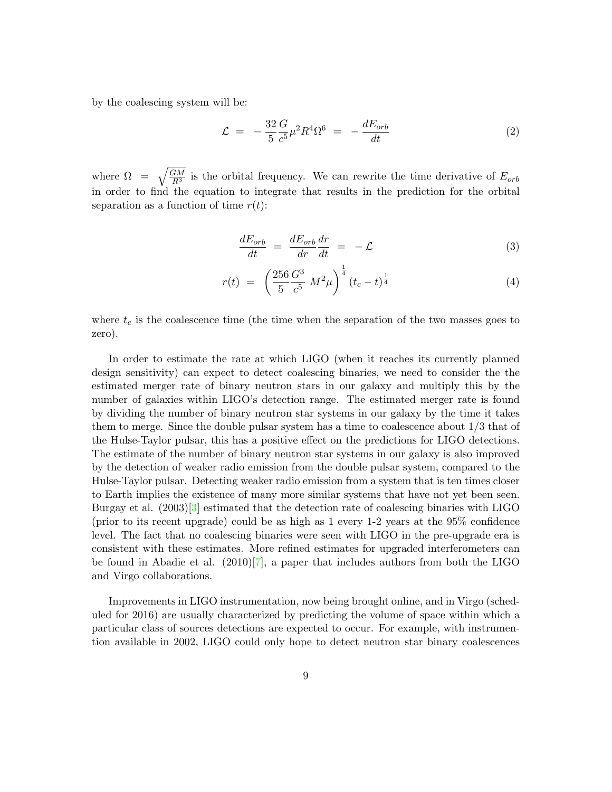by the coalescing system will be:

$$
\mathcal{L} = -\frac{32}{5} \frac{G}{c^5} \mu^2 R^4 \Omega^6 = -\frac{dE_{orb}}{dt} \tag{2}
$$

where  $\Omega = \sqrt{\frac{GM}{R^3}}$  is the orbital frequency. We can rewrite the time derivative of  $E_{orb}$ in order to find the equation to integrate that results in the prediction for the orbital separation as a function of time  $r(t)$ :

$$
\frac{dE_{orb}}{dt} = \frac{dE_{orb}}{dr}\frac{dr}{dt} = -\mathcal{L}
$$
\n(3)

$$
r(t) = \left(\frac{256}{5} \frac{G^3}{c^5} M^2 \mu\right)^{\frac{1}{4}} (t_c - t)^{\frac{1}{4}}
$$
\n(4)

where  $t_c$  is the coalescence time (the time when the separation of the two masses goes to zero).

In order to estimate the rate at which LIGO (when it reaches its currently planned design sensitivity) can expect to detect coalescing binaries, we need to consider the the estimated merger rate of binary neutron stars in our galaxy and multiply this by the number of galaxies within LIGO's detection range. The estimated merger rate is found by dividing the number of binary neutron star systems in our galaxy by the time it takes them to merge. Since the double pulsar system has a time to coalescence about 1/3 that of the Hulse-Taylor pulsar, this has a positive effect on the predictions for LIGO detections. The estimate of the number of binary neutron star systems in our galaxy is also improved by the detection of weaker radio emission from the double pulsar system, compared to the Hulse-Taylor pulsar. Detecting weaker radio emission from a system that is ten times closer to Earth implies the existence of many more similar systems that have not yet been seen. Burgay et al. (2003)[\[3\]](#page-19-1) estimated that the detection rate of coalescing binaries with LIGO (prior to its recent upgrade) could be as high as 1 every 1-2 years at the 95% confidence level. The fact that no coalescing binaries were seen with LIGO in the pre-upgrade era is consistent with these estimates. More refined estimates for upgraded interferometers can be found in Abadie et al.  $(2010)[7]$  $(2010)[7]$ , a paper that includes authors from both the LIGO and Virgo collaborations.

Improvements in LIGO instrumentation, now being brought online, and in Virgo (scheduled for 2016) are usually characterized by predicting the volume of space within which a particular class of sources detections are expected to occur. For example, with instrumention available in 2002, LIGO could only hope to detect neutron star binary coalescences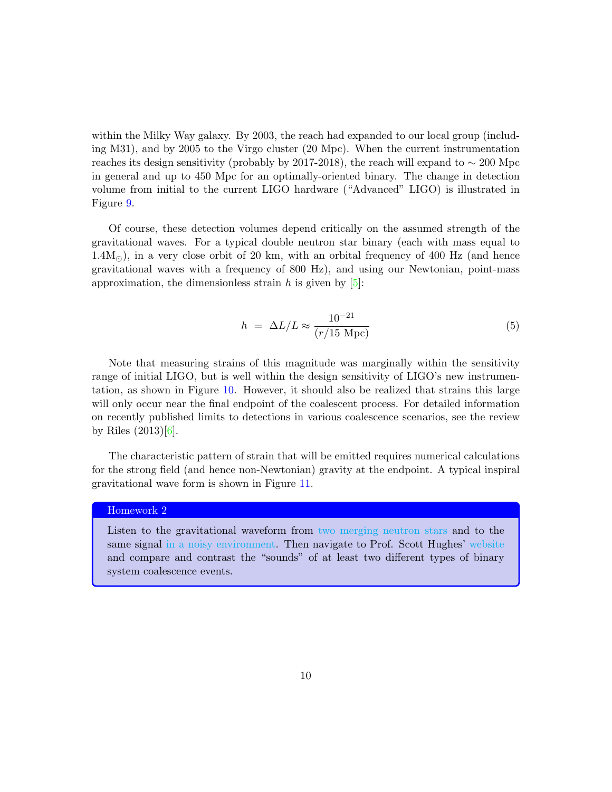within the Milky Way galaxy. By 2003, the reach had expanded to our local group (including M31), and by 2005 to the Virgo cluster (20 Mpc). When the current instrumentation reaches its design sensitivity (probably by 2017-2018), the reach will expand to  $\sim 200$  Mpc in general and up to 450 Mpc for an optimally-oriented binary. The change in detection volume from initial to the current LIGO hardware ("Advanced" LIGO) is illustrated in Figure [9.](#page-10-0)

Of course, these detection volumes depend critically on the assumed strength of the gravitational waves. For a typical double neutron star binary (each with mass equal to  $1.4M_{\odot}$ ), in a very close orbit of 20 km, with an orbital frequency of 400 Hz (and hence gravitational waves with a frequency of 800 Hz), and using our Newtonian, point-mass approximation, the dimensionless strain h is given by  $[5]$ :

<span id="page-9-0"></span>
$$
h = \Delta L/L \approx \frac{10^{-21}}{(r/15 \text{ Mpc})}
$$
\n(5)

Note that measuring strains of this magnitude was marginally within the sensitivity range of initial LIGO, but is well within the design sensitivity of LIGO's new instrumentation, as shown in Figure [10.](#page-11-0) However, it should also be realized that strains this large will only occur near the final endpoint of the coalescent process. For detailed information on recently published limits to detections in various coalescence scenarios, see the review by Riles  $(2013)[6]$  $(2013)[6]$ .

The characteristic pattern of strain that will be emitted requires numerical calculations for the strong field (and hence non-Newtonian) gravity at the endpoint. A typical inspiral gravitational wave form is shown in Figure [11.](#page-11-1)

#### Homework 2

Listen to the gravitational waveform from [two merging neutron stars](http://www.ligo.org/science/GW-Overview/sounds/chirp40-1300Hz.wav) and to the same signal [in a noisy environment.](http://www.ligo.org/science/GW-Overview/sounds/chirp+LIGO_SNR10.wav) Then navigate to Prof. Scott Hughes' [website](http://gmunu.mit.edu/sounds/sounds.html) and compare and contrast the "sounds" of at least two different types of binary system coalescence events.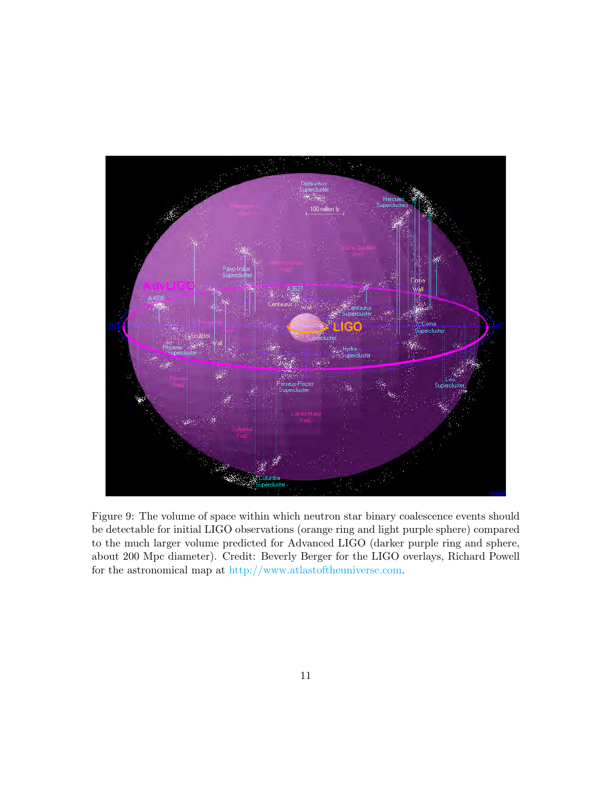

<span id="page-10-0"></span>Figure 9: The volume of space within which neutron star binary coalescence events should be detectable for initial LIGO observations (orange ring and light purple sphere) compared to the much larger volume predicted for Advanced LIGO (darker purple ring and sphere, about 200 Mpc diameter). Credit: Beverly Berger for the LIGO overlays, Richard Powell for the astronomical map at [http://www.atlastoftheuniverse.com.](http://www.atlastoftheuniverse.com)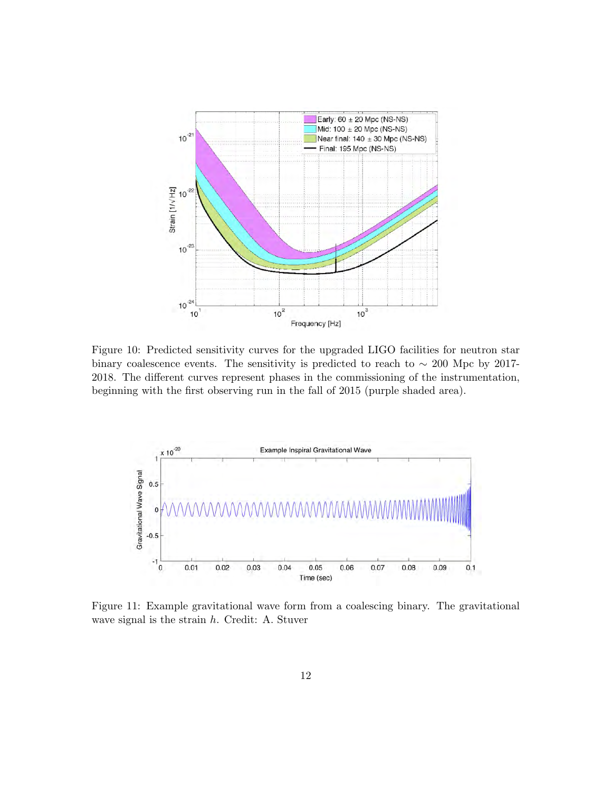

<span id="page-11-0"></span>Figure 10: Predicted sensitivity curves for the upgraded LIGO facilities for neutron star binary coalescence events. The sensitivity is predicted to reach to  $\sim 200$  Mpc by 2017-2018. The different curves represent phases in the commissioning of the instrumentation, beginning with the first observing run in the fall of 2015 (purple shaded area).



<span id="page-11-1"></span>Figure 11: Example gravitational wave form from a coalescing binary. The gravitational wave signal is the strain h. Credit: A. Stuver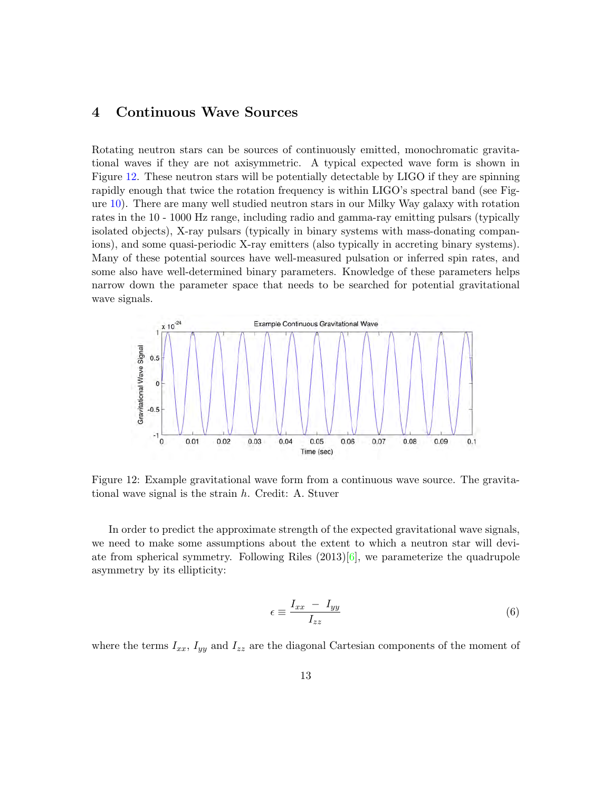## 4 Continuous Wave Sources

Rotating neutron stars can be sources of continuously emitted, monochromatic gravitational waves if they are not axisymmetric. A typical expected wave form is shown in Figure [12.](#page-12-0) These neutron stars will be potentially detectable by LIGO if they are spinning rapidly enough that twice the rotation frequency is within LIGO's spectral band (see Figure [10\)](#page-11-0). There are many well studied neutron stars in our Milky Way galaxy with rotation rates in the 10 - 1000 Hz range, including radio and gamma-ray emitting pulsars (typically isolated objects), X-ray pulsars (typically in binary systems with mass-donating companions), and some quasi-periodic X-ray emitters (also typically in accreting binary systems). Many of these potential sources have well-measured pulsation or inferred spin rates, and some also have well-determined binary parameters. Knowledge of these parameters helps narrow down the parameter space that needs to be searched for potential gravitational wave signals.



<span id="page-12-0"></span>Figure 12: Example gravitational wave form from a continuous wave source. The gravitational wave signal is the strain h. Credit: A. Stuver

In order to predict the approximate strength of the expected gravitational wave signals, we need to make some assumptions about the extent to which a neutron star will deviate from spherical symmetry. Following Riles  $(2013)[6]$  $(2013)[6]$ , we parameterize the quadrupole asymmetry by its ellipticity:

<span id="page-12-1"></span>
$$
\epsilon \equiv \frac{I_{xx} - I_{yy}}{I_{zz}} \tag{6}
$$

where the terms  $I_{xx}$ ,  $I_{yy}$  and  $I_{zz}$  are the diagonal Cartesian components of the moment of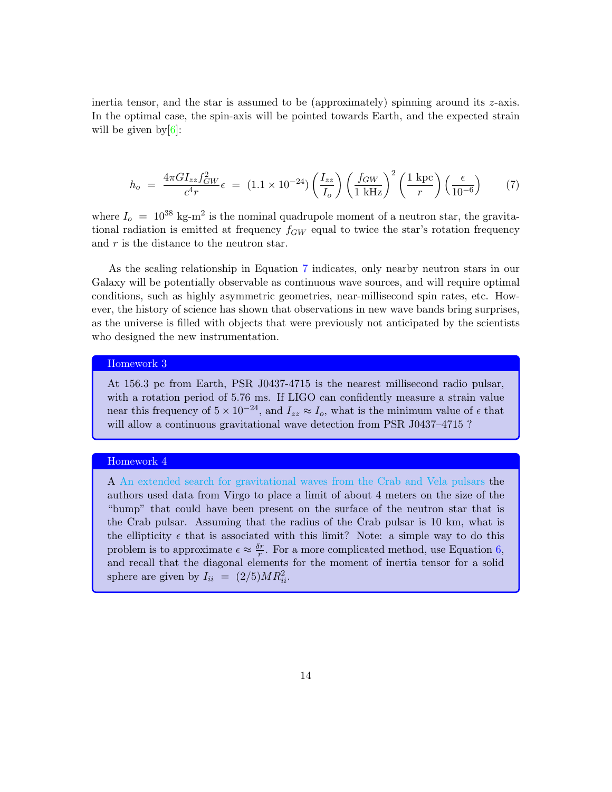inertia tensor, and the star is assumed to be (approximately) spinning around its  $z$ -axis. In the optimal case, the spin-axis will be pointed towards Earth, and the expected strain will be given by  $[6]$ :

<span id="page-13-0"></span>
$$
h_o = \frac{4\pi G I_{zz} f_{GW}^2}{c^4 r} \epsilon = (1.1 \times 10^{-24}) \left(\frac{I_{zz}}{I_o}\right) \left(\frac{f_{GW}}{1 \text{ kHz}}\right)^2 \left(\frac{1 \text{ kpc}}{r}\right) \left(\frac{\epsilon}{10^{-6}}\right) \tag{7}
$$

where  $I_o = 10^{38}$  kg-m<sup>2</sup> is the nominal quadrupole moment of a neutron star, the gravitational radiation is emitted at frequency  $f_{GW}$  equal to twice the star's rotation frequency and r is the distance to the neutron star.

As the scaling relationship in Equation [7](#page-13-0) indicates, only nearby neutron stars in our Galaxy will be potentially observable as continuous wave sources, and will require optimal conditions, such as highly asymmetric geometries, near-millisecond spin rates, etc. However, the history of science has shown that observations in new wave bands bring surprises, as the universe is filled with objects that were previously not anticipated by the scientists who designed the new instrumentation.

#### Homework 3

At 156.3 pc from Earth, PSR J0437-4715 is the nearest millisecond radio pulsar, with a rotation period of 5.76 ms. If LIGO can confidently measure a strain value near this frequency of  $5 \times 10^{-24}$ , and  $I_{zz} \approx I_o$ , what is the minimum value of  $\epsilon$  that will allow a continuous gravitational wave detection from PSR J0437–4715 ?

#### Homework 4

A [An extended search for gravitational waves from the Crab and Vela pulsars](http://www.ligo.org/science/Publication-VSR4PulsarNarrowband/index.php) the authors used data from Virgo to place a limit of about 4 meters on the size of the "bump" that could have been present on the surface of the neutron star that is the Crab pulsar. Assuming that the radius of the Crab pulsar is 10 km, what is the ellipticity  $\epsilon$  that is associated with this limit? Note: a simple way to do this problem is to approximate  $\epsilon \approx \frac{\delta r}{r}$  $\frac{r}{r}$ . For a more complicated method, use Equation [6,](#page-12-1) and recall that the diagonal elements for the moment of inertia tensor for a solid sphere are given by  $I_{ii} = (2/5)MR_{ii}^2$ .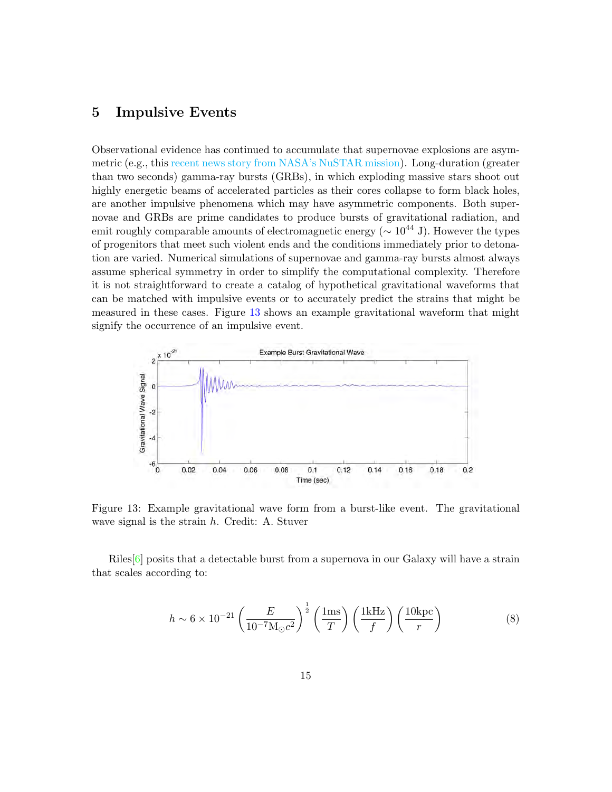## 5 Impulsive Events

Observational evidence has continued to accumulate that supernovae explosions are asymmetric (e.g., this [recent news story from NASA's NuSTAR mission\)](http://www.nustar.caltech.edu/news/nustar150507). Long-duration (greater than two seconds) gamma-ray bursts (GRBs), in which exploding massive stars shoot out highly energetic beams of accelerated particles as their cores collapse to form black holes, are another impulsive phenomena which may have asymmetric components. Both supernovae and GRBs are prime candidates to produce bursts of gravitational radiation, and emit roughly comparable amounts of electromagnetic energy ( $\sim 10^{44}$  J). However the types of progenitors that meet such violent ends and the conditions immediately prior to detonation are varied. Numerical simulations of supernovae and gamma-ray bursts almost always assume spherical symmetry in order to simplify the computational complexity. Therefore it is not straightforward to create a catalog of hypothetical gravitational waveforms that can be matched with impulsive events or to accurately predict the strains that might be measured in these cases. Figure [13](#page-14-0) shows an example gravitational waveform that might signify the occurrence of an impulsive event.



<span id="page-14-0"></span>Figure 13: Example gravitational wave form from a burst-like event. The gravitational wave signal is the strain h. Credit: A. Stuver

Riles $[6]$  posits that a detectable burst from a supernova in our Galaxy will have a strain that scales according to:

<span id="page-14-1"></span>
$$
h \sim 6 \times 10^{-21} \left(\frac{E}{10^{-7} \text{M}_{\odot} c^2}\right)^{\frac{1}{2}} \left(\frac{1 \text{ms}}{T}\right) \left(\frac{1 \text{kHz}}{f}\right) \left(\frac{10 \text{kpc}}{r}\right) \tag{8}
$$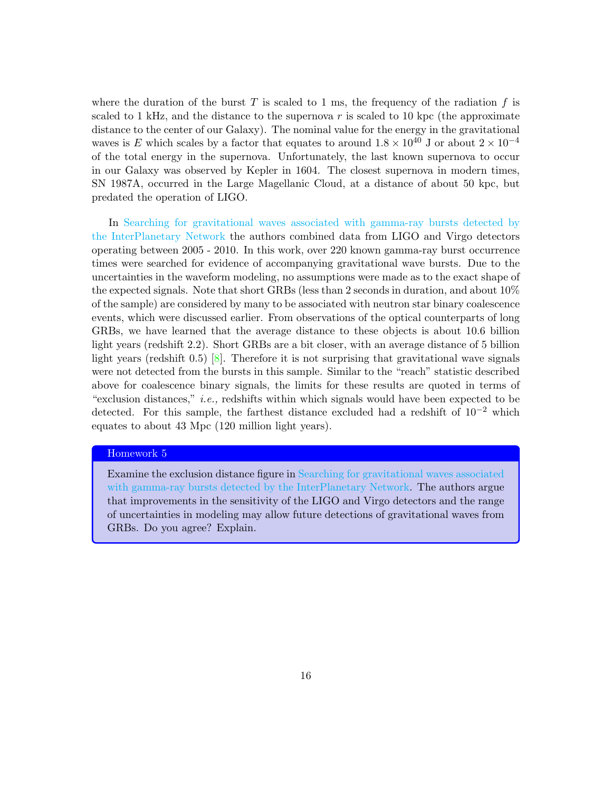where the duration of the burst T is scaled to 1 ms, the frequency of the radiation f is scaled to 1 kHz, and the distance to the supernova  $r$  is scaled to 10 kpc (the approximate distance to the center of our Galaxy). The nominal value for the energy in the gravitational waves is E which scales by a factor that equates to around  $1.8 \times 10^{40}$  J or about  $2 \times 10^{-4}$ of the total energy in the supernova. Unfortunately, the last known supernova to occur in our Galaxy was observed by Kepler in 1604. The closest supernova in modern times, SN 1987A, occurred in the Large Magellanic Cloud, at a distance of about 50 kpc, but predated the operation of LIGO.

In [Searching for gravitational waves associated with gamma-ray bursts detected by](http://www.ligo.org/science/Publication-IPNS56VSR123grb/index.php) [the InterPlanetary Network](http://www.ligo.org/science/Publication-IPNS56VSR123grb/index.php) the authors combined data from LIGO and Virgo detectors operating between 2005 - 2010. In this work, over 220 known gamma-ray burst occurrence times were searched for evidence of accompanying gravitational wave bursts. Due to the uncertainties in the waveform modeling, no assumptions were made as to the exact shape of the expected signals. Note that short GRBs (less than 2 seconds in duration, and about 10% of the sample) are considered by many to be associated with neutron star binary coalescence events, which were discussed earlier. From observations of the optical counterparts of long GRBs, we have learned that the average distance to these objects is about 10.6 billion light years (redshift 2.2). Short GRBs are a bit closer, with an average distance of 5 billion light years (redshift 0.5)  $[8]$ . Therefore it is not surprising that gravitational wave signals were not detected from the bursts in this sample. Similar to the "reach" statistic described above for coalescence binary signals, the limits for these results are quoted in terms of "exclusion distances," i.e., redshifts within which signals would have been expected to be detected. For this sample, the farthest distance excluded had a redshift of 10−<sup>2</sup> which equates to about 43 Mpc (120 million light years).

#### Homework 5

Examine the exclusion distance figure in [Searching for gravitational waves associated](http://www.ligo.org/science/Publication-IPNS56VSR123grb/index.php) [with gamma-ray bursts detected by the InterPlanetary Network.](http://www.ligo.org/science/Publication-IPNS56VSR123grb/index.php) The authors argue that improvements in the sensitivity of the LIGO and Virgo detectors and the range of uncertainties in modeling may allow future detections of gravitational waves from GRBs. Do you agree? Explain.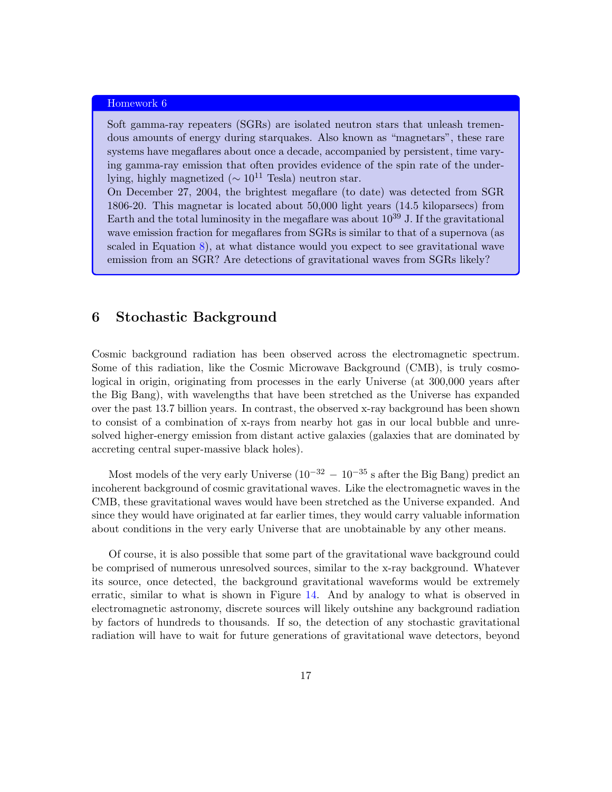#### Homework 6

Soft gamma-ray repeaters (SGRs) are isolated neutron stars that unleash tremendous amounts of energy during starquakes. Also known as "magnetars", these rare systems have megaflares about once a decade, accompanied by persistent, time varying gamma-ray emission that often provides evidence of the spin rate of the underlying, highly magnetized ( $\sim 10^{11}$  Tesla) neutron star.

On December 27, 2004, the brightest megaflare (to date) was detected from SGR 1806-20. This magnetar is located about 50,000 light years (14.5 kiloparsecs) from Earth and the total luminosity in the megaflare was about  $10^{39}$  J. If the gravitational wave emission fraction for megaflares from SGRs is similar to that of a supernova (as scaled in Equation [8\)](#page-14-1), at what distance would you expect to see gravitational wave emission from an SGR? Are detections of gravitational waves from SGRs likely?

### 6 Stochastic Background

Cosmic background radiation has been observed across the electromagnetic spectrum. Some of this radiation, like the Cosmic Microwave Background (CMB), is truly cosmological in origin, originating from processes in the early Universe (at 300,000 years after the Big Bang), with wavelengths that have been stretched as the Universe has expanded over the past 13.7 billion years. In contrast, the observed x-ray background has been shown to consist of a combination of x-rays from nearby hot gas in our local bubble and unresolved higher-energy emission from distant active galaxies (galaxies that are dominated by accreting central super-massive black holes).

Most models of the very early Universe  $(10^{-32} - 10^{-35})$  s after the Big Bang) predict an incoherent background of cosmic gravitational waves. Like the electromagnetic waves in the CMB, these gravitational waves would have been stretched as the Universe expanded. And since they would have originated at far earlier times, they would carry valuable information about conditions in the very early Universe that are unobtainable by any other means.

Of course, it is also possible that some part of the gravitational wave background could be comprised of numerous unresolved sources, similar to the x-ray background. Whatever its source, once detected, the background gravitational waveforms would be extremely erratic, similar to what is shown in Figure [14.](#page-17-0) And by analogy to what is observed in electromagnetic astronomy, discrete sources will likely outshine any background radiation by factors of hundreds to thousands. If so, the detection of any stochastic gravitational radiation will have to wait for future generations of gravitational wave detectors, beyond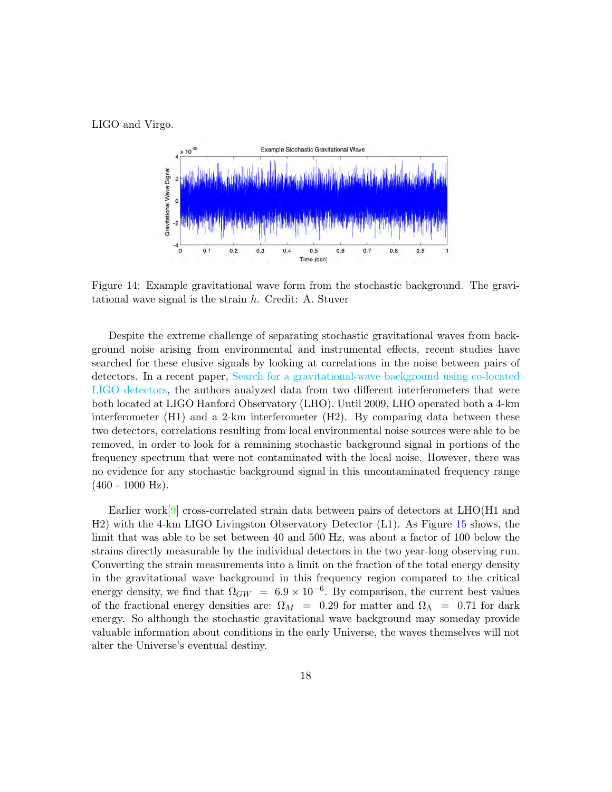LIGO and Virgo.



<span id="page-17-0"></span>Figure 14: Example gravitational wave form from the stochastic background. The gravitational wave signal is the strain h. Credit: A. Stuver

Despite the extreme challenge of separating stochastic gravitational waves from background noise arising from environmental and instrumental effects, recent studies have searched for these elusive signals by looking at correlations in the noise between pairs of detectors. In a recent paper, [Search for a gravitational-wave background using co-located](http://www.ligo.org/science/Publication-S5H1H2StochIso/index.php) [LIGO detectors,](http://www.ligo.org/science/Publication-S5H1H2StochIso/index.php) the authors analyzed data from two different interferometers that were both located at LIGO Hanford Observatory (LHO). Until 2009, LHO operated both a 4-km interferometer (H1) and a 2-km interferometer (H2). By comparing data between these two detectors, correlations resulting from local environmental noise sources were able to be removed, in order to look for a remaining stochastic background signal in portions of the frequency spectrum that were not contaminated with the local noise. However, there was no evidence for any stochastic background signal in this uncontaminated frequency range  $(460 - 1000$  Hz).

Earlier work[\[9\]](#page-19-7) cross-correlated strain data between pairs of detectors at LHO(H1 and H2) with the 4-km LIGO Livingston Observatory Detector (L1). As Figure [15](#page-18-0) shows, the limit that was able to be set between 40 and 500 Hz, was about a factor of 100 below the strains directly measurable by the individual detectors in the two year-long observing run. Converting the strain measurements into a limit on the fraction of the total energy density in the gravitational wave background in this frequency region compared to the critical energy density, we find that  $\Omega_{GW} = 6.9 \times 10^{-6}$ . By comparison, the current best values of the fractional energy densities are:  $\Omega_M = 0.29$  for matter and  $\Omega_{\Lambda} = 0.71$  for dark energy. So although the stochastic gravitational wave background may someday provide valuable information about conditions in the early Universe, the waves themselves will not alter the Universe's eventual destiny.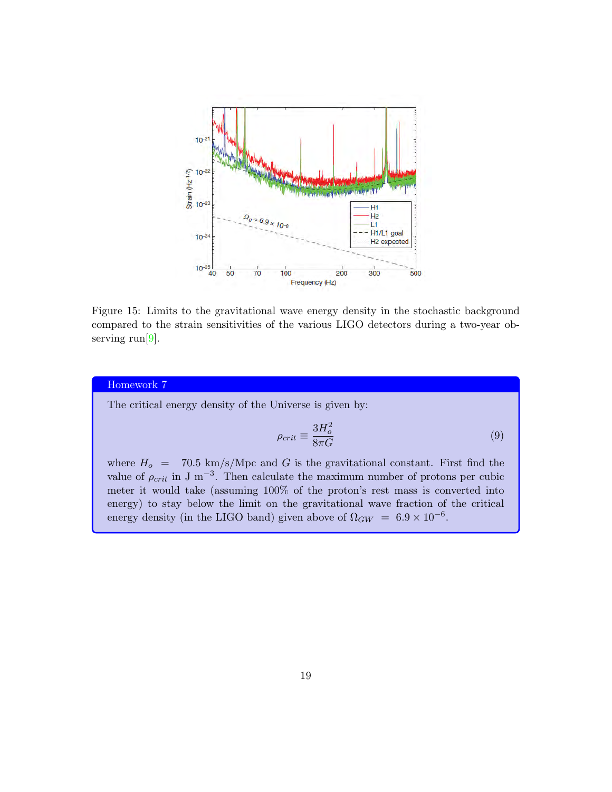

<span id="page-18-0"></span>Figure 15: Limits to the gravitational wave energy density in the stochastic background compared to the strain sensitivities of the various LIGO detectors during a two-year observing  $run[9]$  $run[9]$ .

### Homework 7

The critical energy density of the Universe is given by:

$$
\rho_{crit} \equiv \frac{3H_o^2}{8\pi G} \tag{9}
$$

where  $H_o = 70.5 \text{ km/s/Mpc}$  and G is the gravitational constant. First find the value of  $\rho_{crit}$  in J m<sup>-3</sup>. Then calculate the maximum number of protons per cubic meter it would take (assuming 100% of the proton's rest mass is converted into energy) to stay below the limit on the gravitational wave fraction of the critical energy density (in the LIGO band) given above of  $\Omega_{GW} = 6.9 \times 10^{-6}$ .